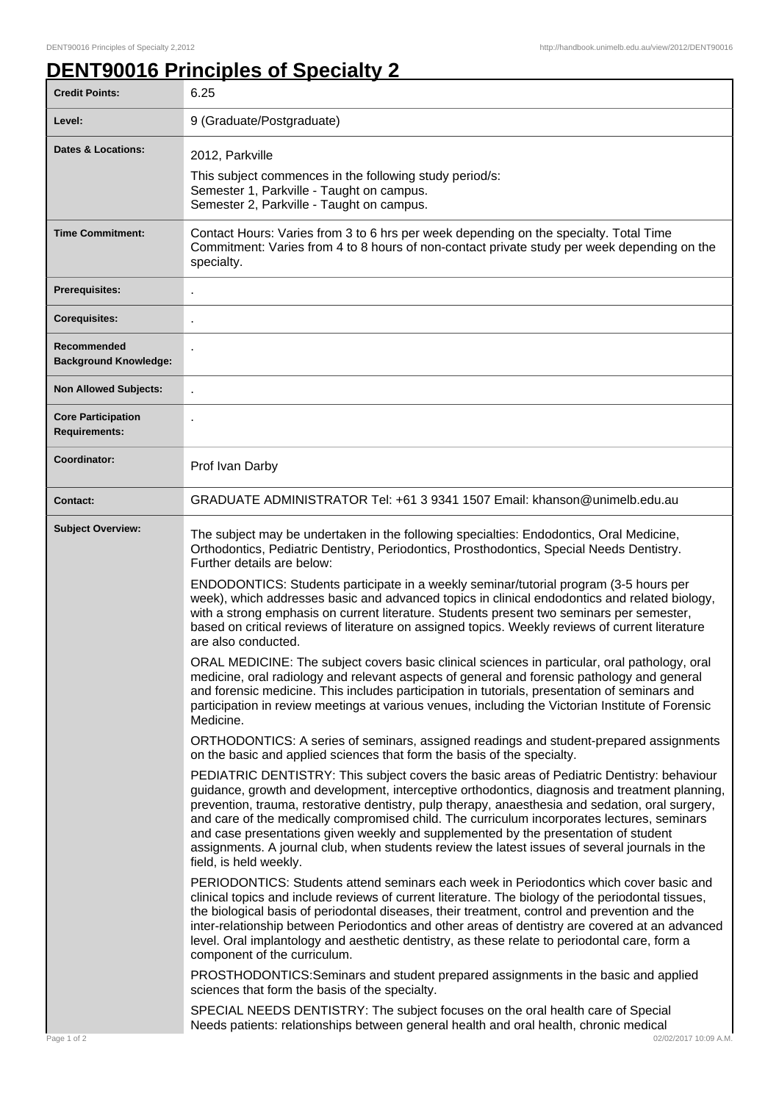ı

## **DENT90016 Principles of Specialty 2**

| <b>Credit Points:</b>                             | 6.25                                                                                                                                                                                                                                                                                                                                                                                                                                                                                                                                                                                                               |
|---------------------------------------------------|--------------------------------------------------------------------------------------------------------------------------------------------------------------------------------------------------------------------------------------------------------------------------------------------------------------------------------------------------------------------------------------------------------------------------------------------------------------------------------------------------------------------------------------------------------------------------------------------------------------------|
| Level:                                            | 9 (Graduate/Postgraduate)                                                                                                                                                                                                                                                                                                                                                                                                                                                                                                                                                                                          |
| Dates & Locations:                                | 2012, Parkville<br>This subject commences in the following study period/s:<br>Semester 1, Parkville - Taught on campus.<br>Semester 2, Parkville - Taught on campus.                                                                                                                                                                                                                                                                                                                                                                                                                                               |
| <b>Time Commitment:</b>                           | Contact Hours: Varies from 3 to 6 hrs per week depending on the specialty. Total Time<br>Commitment: Varies from 4 to 8 hours of non-contact private study per week depending on the<br>specialty.                                                                                                                                                                                                                                                                                                                                                                                                                 |
| <b>Prerequisites:</b>                             |                                                                                                                                                                                                                                                                                                                                                                                                                                                                                                                                                                                                                    |
| <b>Corequisites:</b>                              |                                                                                                                                                                                                                                                                                                                                                                                                                                                                                                                                                                                                                    |
| Recommended<br><b>Background Knowledge:</b>       | J.                                                                                                                                                                                                                                                                                                                                                                                                                                                                                                                                                                                                                 |
| <b>Non Allowed Subjects:</b>                      |                                                                                                                                                                                                                                                                                                                                                                                                                                                                                                                                                                                                                    |
| <b>Core Participation</b><br><b>Requirements:</b> |                                                                                                                                                                                                                                                                                                                                                                                                                                                                                                                                                                                                                    |
| Coordinator:                                      | Prof Ivan Darby                                                                                                                                                                                                                                                                                                                                                                                                                                                                                                                                                                                                    |
| <b>Contact:</b>                                   | GRADUATE ADMINISTRATOR Tel: +61 3 9341 1507 Email: khanson@unimelb.edu.au                                                                                                                                                                                                                                                                                                                                                                                                                                                                                                                                          |
| <b>Subject Overview:</b>                          | The subject may be undertaken in the following specialties: Endodontics, Oral Medicine,<br>Orthodontics, Pediatric Dentistry, Periodontics, Prosthodontics, Special Needs Dentistry.<br>Further details are below:                                                                                                                                                                                                                                                                                                                                                                                                 |
|                                                   | ENDODONTICS: Students participate in a weekly seminar/tutorial program (3-5 hours per<br>week), which addresses basic and advanced topics in clinical endodontics and related biology,<br>with a strong emphasis on current literature. Students present two seminars per semester,<br>based on critical reviews of literature on assigned topics. Weekly reviews of current literature<br>are also conducted.                                                                                                                                                                                                     |
|                                                   | ORAL MEDICINE: The subject covers basic clinical sciences in particular, oral pathology, oral<br>medicine, oral radiology and relevant aspects of general and forensic pathology and general<br>and forensic medicine. This includes participation in tutorials, presentation of seminars and<br>participation in review meetings at various venues, including the Victorian Institute of Forensic<br>Medicine.                                                                                                                                                                                                    |
|                                                   | ORTHODONTICS: A series of seminars, assigned readings and student-prepared assignments<br>on the basic and applied sciences that form the basis of the specialty.                                                                                                                                                                                                                                                                                                                                                                                                                                                  |
|                                                   | PEDIATRIC DENTISTRY: This subject covers the basic areas of Pediatric Dentistry: behaviour<br>guidance, growth and development, interceptive orthodontics, diagnosis and treatment planning,<br>prevention, trauma, restorative dentistry, pulp therapy, anaesthesia and sedation, oral surgery,<br>and care of the medically compromised child. The curriculum incorporates lectures, seminars<br>and case presentations given weekly and supplemented by the presentation of student<br>assignments. A journal club, when students review the latest issues of several journals in the<br>field, is held weekly. |
|                                                   | PERIODONTICS: Students attend seminars each week in Periodontics which cover basic and<br>clinical topics and include reviews of current literature. The biology of the periodontal tissues,<br>the biological basis of periodontal diseases, their treatment, control and prevention and the<br>inter-relationship between Periodontics and other areas of dentistry are covered at an advanced<br>level. Oral implantology and aesthetic dentistry, as these relate to periodontal care, form a<br>component of the curriculum.                                                                                  |
|                                                   | PROSTHODONTICS: Seminars and student prepared assignments in the basic and applied<br>sciences that form the basis of the specialty.                                                                                                                                                                                                                                                                                                                                                                                                                                                                               |
| Page 1 of 2                                       | SPECIAL NEEDS DENTISTRY: The subject focuses on the oral health care of Special<br>Needs patients: relationships between general health and oral health, chronic medical<br>02/02/2017 10:09 A.M.                                                                                                                                                                                                                                                                                                                                                                                                                  |